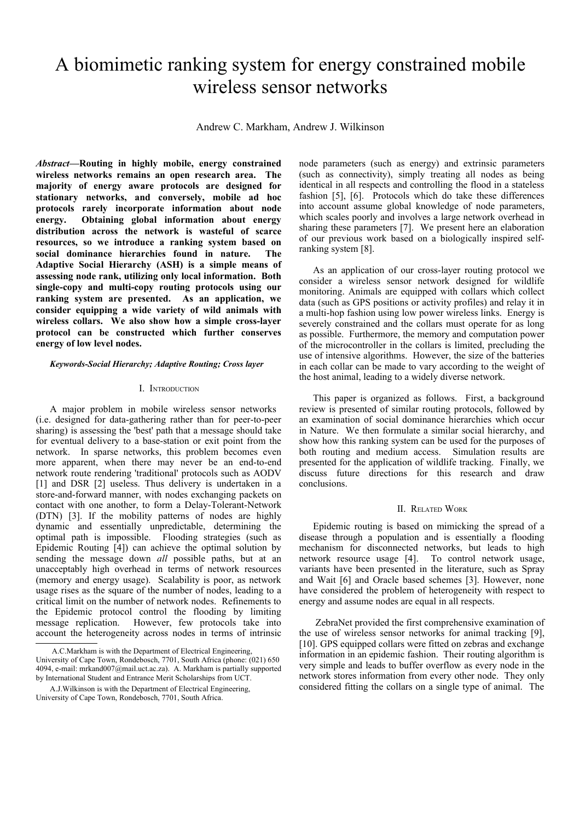# A biomimetic ranking system for energy constrained mobile wireless sensor networks

Andrew C. Markham, Andrew J. Wilkinson

*Abstract***—Routing in highly mobile, energy constrained wireless networks remains an open research area. The majority of energy aware protocols are designed for stationary networks, and conversely, mobile ad hoc protocols rarely incorporate information about node energy. Obtaining global information about energy distribution across the network is wasteful of scarce resources, so we introduce a ranking system based on social dominance hierarchies found in nature. The Adaptive Social Hierarchy (ASH) is a simple means of assessing node rank, utilizing only local information. Both single-copy and multi-copy routing protocols using our ranking system are presented. As an application, we consider equipping a wide variety of wild animals with wireless collars. We also show how a simple cross-layer protocol can be constructed which further conserves energy of low level nodes[.](#page-0-0)**

#### *Keywords-Social Hierarchy; Adaptive Routing; Cross layer*

## I. INTRODUCTION

A major problem in mobile wireless sensor networks (i.e. designed for data-gathering rather than for peer-to-peer sharing) is assessing the 'best' path that a message should take for eventual delivery to a base-station or exit point from the network. In sparse networks, this problem becomes even more apparent, when there may never be an end-to-end network route rendering 'traditional' protocols such as AODV [1] and DSR [2] useless. Thus delivery is undertaken in a store-and-forward manner, with nodes exchanging packets on contact with one another, to form a Delay-Tolerant-Network (DTN) [3]. If the mobility patterns of nodes are highly dynamic and essentially unpredictable, determining the optimal path is impossible. Flooding strategies (such as Epidemic Routing [4]) can achieve the optimal solution by sending the message down *all* possible paths, but at an unacceptably high overhead in terms of network resources (memory and energy usage). Scalability is poor, as network usage rises as the square of the number of nodes, leading to a critical limit on the number of network nodes. Refinements to the Epidemic protocol control the flooding by limiting message replication. However, few protocols take into account the heterogeneity across nodes in terms of intrinsic node parameters (such as energy) and extrinsic parameters (such as connectivity), simply treating all nodes as being identical in all respects and controlling the flood in a stateless fashion [5], [6]. Protocols which do take these differences into account assume global knowledge of node parameters, which scales poorly and involves a large network overhead in sharing these parameters [7]. We present here an elaboration of our previous work based on a biologically inspired selfranking system [8].

As an application of our cross-layer routing protocol we consider a wireless sensor network designed for wildlife monitoring. Animals are equipped with collars which collect data (such as GPS positions or activity profiles) and relay it in a multi-hop fashion using low power wireless links. Energy is severely constrained and the collars must operate for as long as possible. Furthermore, the memory and computation power of the microcontroller in the collars is limited, precluding the use of intensive algorithms. However, the size of the batteries in each collar can be made to vary according to the weight of the host animal, leading to a widely diverse network.

This paper is organized as follows. First, a background review is presented of similar routing protocols, followed by an examination of social dominance hierarchies which occur in Nature. We then formulate a similar social hierarchy, and show how this ranking system can be used for the purposes of both routing and medium access. Simulation results are presented for the application of wildlife tracking. Finally, we discuss future directions for this research and draw conclusions.

## II. RELATED WORK

Epidemic routing is based on mimicking the spread of a disease through a population and is essentially a flooding mechanism for disconnected networks, but leads to high network resource usage [4]. To control network usage, variants have been presented in the literature, such as Spray and Wait [6] and Oracle based schemes [3]. However, none have considered the problem of heterogeneity with respect to energy and assume nodes are equal in all respects.

 ZebraNet provided the first comprehensive examination of the use of wireless sensor networks for animal tracking [9], [10]. GPS equipped collars were fitted on zebras and exchange information in an epidemic fashion. Their routing algorithm is very simple and leads to buffer overflow as every node in the network stores information from every other node. They only considered fitting the collars on a single type of animal. The

<span id="page-0-0"></span>A.C.Markham is with the Department of Electrical Engineering,

University of Cape Town, Rondebosch, 7701, South Africa (phone: (021) 650 4094, e-mail: mrkand007@mail.uct.ac.za). A. Markham is partially supported by International Student and Entrance Merit Scholarships from UCT.

A.J.Wilkinson is with the Department of Electrical Engineering, University of Cape Town, Rondebosch, 7701, South Africa.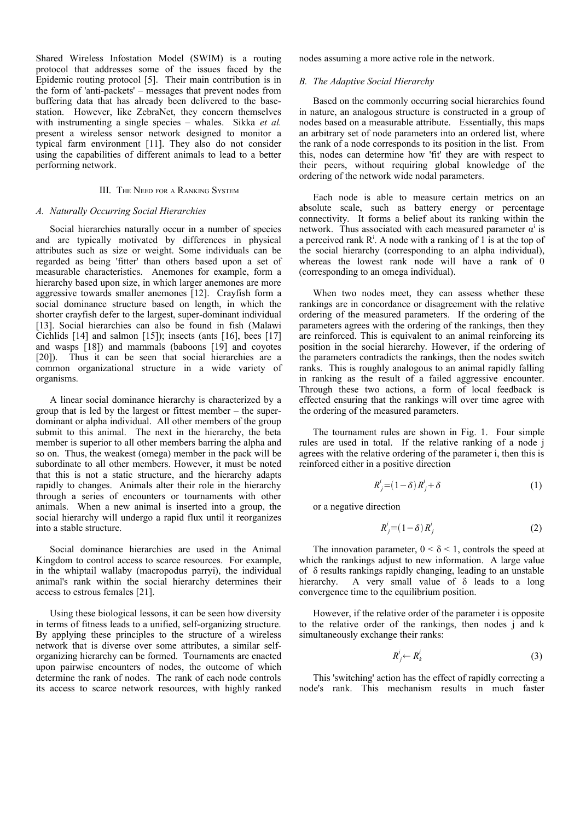Shared Wireless Infostation Model (SWIM) is a routing protocol that addresses some of the issues faced by the Epidemic routing protocol [5]. Their main contribution is in the form of 'anti-packets' – messages that prevent nodes from buffering data that has already been delivered to the basestation. However, like ZebraNet, they concern themselves with instrumenting a single species – whales. Sikka *et al.* present a wireless sensor network designed to monitor a typical farm environment [11]. They also do not consider using the capabilities of different animals to lead to a better performing network.

## III. THE NEED FOR <sup>A</sup> RANKING SYSTEM

## *A. Naturally Occurring Social Hierarchies*

Social hierarchies naturally occur in a number of species and are typically motivated by differences in physical attributes such as size or weight. Some individuals can be regarded as being 'fitter' than others based upon a set of measurable characteristics. Anemones for example, form a hierarchy based upon size, in which larger anemones are more aggressive towards smaller anemones [12]. Crayfish form a social dominance structure based on length, in which the shorter crayfish defer to the largest, super-dominant individual [13]. Social hierarchies can also be found in fish (Malawi Cichlids [14] and salmon [15]); insects (ants [16], bees [17] and wasps [18]) and mammals (baboons [19] and coyotes [20]). Thus it can be seen that social hierarchies are a common organizational structure in a wide variety of organisms.

A linear social dominance hierarchy is characterized by a group that is led by the largest or fittest member – the superdominant or alpha individual. All other members of the group submit to this animal. The next in the hierarchy, the beta member is superior to all other members barring the alpha and so on. Thus, the weakest (omega) member in the pack will be subordinate to all other members. However, it must be noted that this is not a static structure, and the hierarchy adapts rapidly to changes. Animals alter their role in the hierarchy through a series of encounters or tournaments with other animals. When a new animal is inserted into a group, the social hierarchy will undergo a rapid flux until it reorganizes into a stable structure.

Social dominance hierarchies are used in the Animal Kingdom to control access to scarce resources. For example, in the whiptail wallaby (macropodus parryi), the individual animal's rank within the social hierarchy determines their access to estrous females [21].

Using these biological lessons, it can be seen how diversity in terms of fitness leads to a unified, self-organizing structure. By applying these principles to the structure of a wireless network that is diverse over some attributes, a similar selforganizing hierarchy can be formed. Tournaments are enacted upon pairwise encounters of nodes, the outcome of which determine the rank of nodes. The rank of each node controls its access to scarce network resources, with highly ranked nodes assuming a more active role in the network.

## *B. The Adaptive Social Hierarchy*

Based on the commonly occurring social hierarchies found in nature, an analogous structure is constructed in a group of nodes based on a measurable attribute. Essentially, this maps an arbitrary set of node parameters into an ordered list, where the rank of a node corresponds to its position in the list. From this, nodes can determine how 'fit' they are with respect to their peers, without requiring global knowledge of the ordering of the network wide nodal parameters.

Each node is able to measure certain metrics on an absolute scale, such as battery energy or percentage connectivity. It forms a belief about its ranking within the network. Thus associated with each measured parameter  $\alpha^{i}$  is a perceived rank  $R^i$ . A node with a ranking of 1 is at the top of the social hierarchy (corresponding to an alpha individual), whereas the lowest rank node will have a rank of 0 (corresponding to an omega individual).

When two nodes meet, they can assess whether these rankings are in concordance or disagreement with the relative ordering of the measured parameters. If the ordering of the parameters agrees with the ordering of the rankings, then they are reinforced. This is equivalent to an animal reinforcing its position in the social hierarchy. However, if the ordering of the parameters contradicts the rankings, then the nodes switch ranks. This is roughly analogous to an animal rapidly falling in ranking as the result of a failed aggressive encounter. Through these two actions, a form of local feedback is effected ensuring that the rankings will over time agree with the ordering of the measured parameters.

The tournament rules are shown in Fig. 1. Four simple rules are used in total. If the relative ranking of a node j agrees with the relative ordering of the parameter i, then this is reinforced either in a positive direction

$$
R_j^i = (1 - \delta) R_j^i + \delta \tag{1}
$$

or a negative direction

$$
R_j^i = (1 - \delta) R_j^i \tag{2}
$$

The innovation parameter,  $0 < \delta < 1$ , controls the speed at which the rankings adjust to new information. A large value of δ results rankings rapidly changing, leading to an unstable hierarchy. A very small value of δ leads to a long convergence time to the equilibrium position.

However, if the relative order of the parameter i is opposite to the relative order of the rankings, then nodes j and k simultaneously exchange their ranks:

$$
R_j^i \leftarrow R_k^i \tag{3}
$$

This 'switching' action has the effect of rapidly correcting a node's rank. This mechanism results in much faster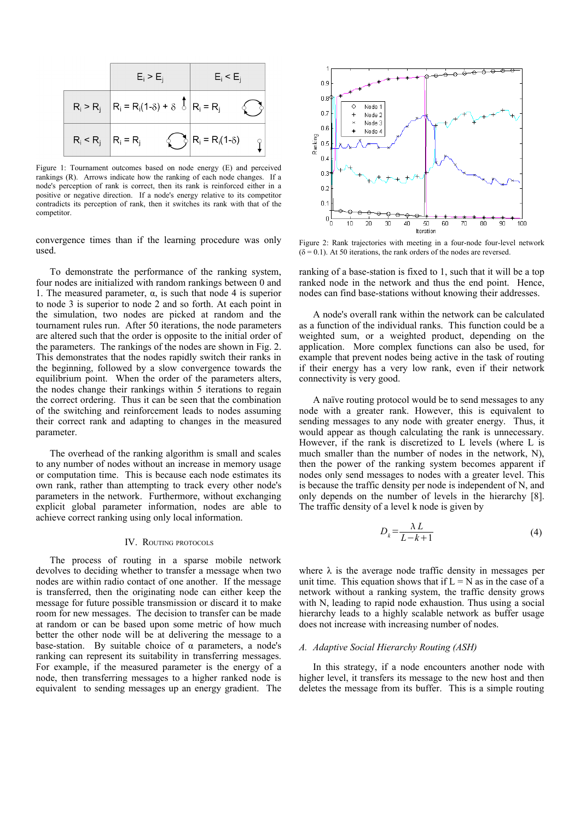

Figure 1: Tournament outcomes based on node energy (E) and perceived rankings (R). Arrows indicate how the ranking of each node changes. If a node's perception of rank is correct, then its rank is reinforced either in a positive or negative direction. If a node's energy relative to its competitor contradicts its perception of rank, then it switches its rank with that of the competitor.

convergence times than if the learning procedure was only used.

To demonstrate the performance of the ranking system, four nodes are initialized with random rankings between 0 and 1. The measured parameter,  $\alpha$ , is such that node 4 is superior to node 3 is superior to node 2 and so forth. At each point in the simulation, two nodes are picked at random and the tournament rules run. After 50 iterations, the node parameters are altered such that the order is opposite to the initial order of the parameters. The rankings of the nodes are shown in Fig. 2. This demonstrates that the nodes rapidly switch their ranks in the beginning, followed by a slow convergence towards the equilibrium point. When the order of the parameters alters, the nodes change their rankings within 5 iterations to regain the correct ordering. Thus it can be seen that the combination of the switching and reinforcement leads to nodes assuming their correct rank and adapting to changes in the measured parameter.

The overhead of the ranking algorithm is small and scales to any number of nodes without an increase in memory usage or computation time. This is because each node estimates its own rank, rather than attempting to track every other node's parameters in the network. Furthermore, without exchanging explicit global parameter information, nodes are able to achieve correct ranking using only local information.

## IV. ROUTING PROTOCOLS

The process of routing in a sparse mobile network devolves to deciding whether to transfer a message when two nodes are within radio contact of one another. If the message is transferred, then the originating node can either keep the message for future possible transmission or discard it to make room for new messages. The decision to transfer can be made at random or can be based upon some metric of how much better the other node will be at delivering the message to a base-station. By suitable choice of  $\alpha$  parameters, a node's ranking can represent its suitability in transferring messages. For example, if the measured parameter is the energy of a node, then transferring messages to a higher ranked node is equivalent to sending messages up an energy gradient. The



Figure 2: Rank trajectories with meeting in a four-node four-level network  $(\delta = 0.1)$ . At 50 iterations, the rank orders of the nodes are reversed.

ranking of a base-station is fixed to 1, such that it will be a top ranked node in the network and thus the end point. Hence, nodes can find base-stations without knowing their addresses.

A node's overall rank within the network can be calculated as a function of the individual ranks. This function could be a weighted sum, or a weighted product, depending on the application. More complex functions can also be used, for example that prevent nodes being active in the task of routing if their energy has a very low rank, even if their network connectivity is very good.

A naïve routing protocol would be to send messages to any node with a greater rank. However, this is equivalent to sending messages to any node with greater energy. Thus, it would appear as though calculating the rank is unnecessary. However, if the rank is discretized to L levels (where L is much smaller than the number of nodes in the network, N), then the power of the ranking system becomes apparent if nodes only send messages to nodes with a greater level. This is because the traffic density per node is independent of N, and only depends on the number of levels in the hierarchy [8]. The traffic density of a level k node is given by

$$
D_k = \frac{\lambda L}{L - k + 1} \tag{4}
$$

where  $\lambda$  is the average node traffic density in messages per unit time. This equation shows that if  $L = N$  as in the case of a network without a ranking system, the traffic density grows with N, leading to rapid node exhaustion. Thus using a social hierarchy leads to a highly scalable network as buffer usage does not increase with increasing number of nodes.

## *A. Adaptive Social Hierarchy Routing (ASH)*

In this strategy, if a node encounters another node with higher level, it transfers its message to the new host and then deletes the message from its buffer. This is a simple routing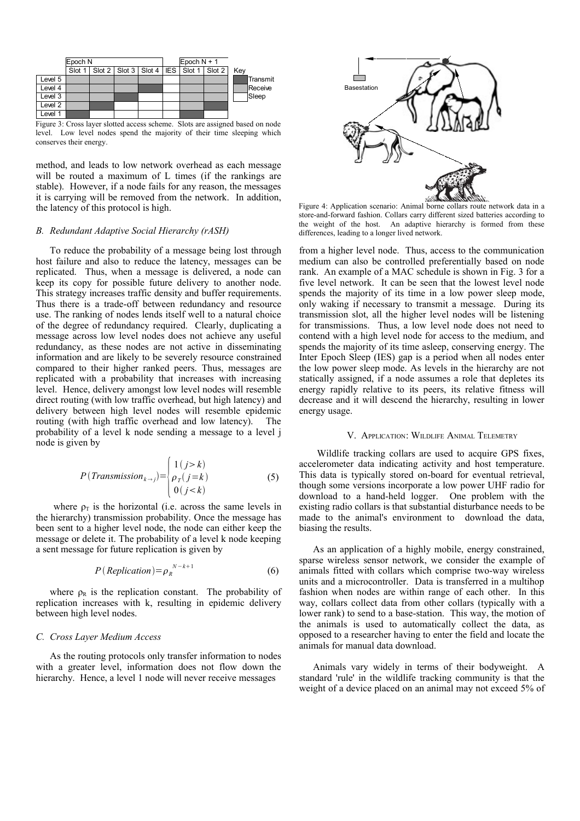

Figure 3: Cross layer slotted access scheme. Slots are assigned based on node level. Low level nodes spend the majority of their time sleeping which conserves their energy.

method, and leads to low network overhead as each message will be routed a maximum of L times (if the rankings are stable). However, if a node fails for any reason, the messages it is carrying will be removed from the network. In addition, the latency of this protocol is high.

## *B. Redundant Adaptive Social Hierarchy (rASH)*

To reduce the probability of a message being lost through host failure and also to reduce the latency, messages can be replicated. Thus, when a message is delivered, a node can keep its copy for possible future delivery to another node. This strategy increases traffic density and buffer requirements. Thus there is a trade-off between redundancy and resource use. The ranking of nodes lends itself well to a natural choice of the degree of redundancy required. Clearly, duplicating a message across low level nodes does not achieve any useful redundancy, as these nodes are not active in disseminating information and are likely to be severely resource constrained compared to their higher ranked peers. Thus, messages are replicated with a probability that increases with increasing level. Hence, delivery amongst low level nodes will resemble direct routing (with low traffic overhead, but high latency) and delivery between high level nodes will resemble epidemic routing (with high traffic overhead and low latency). The probability of a level k node sending a message to a level j node is given by

$$
P(Transmission_{k \to j}) = \begin{cases} 1(j > k) \\ \rho_T(j = k) \\ 0(j < k) \end{cases}
$$
 (5)

where  $\rho_T$  is the horizontal (i.e. across the same levels in the hierarchy) transmission probability. Once the message has been sent to a higher level node, the node can either keep the message or delete it. The probability of a level k node keeping a sent message for future replication is given by

$$
P(\text{Replication}) = \rho_R^{N-k+1} \tag{6}
$$

where  $\rho_R$  is the replication constant. The probability of replication increases with k, resulting in epidemic delivery between high level nodes.

## *C. Cross Layer Medium Access*

As the routing protocols only transfer information to nodes with a greater level, information does not flow down the hierarchy. Hence, a level 1 node will never receive messages



<span id="page-3-0"></span>Figure 4: Application scenario: Animal borne collars route network data in a store-and-forward fashion. Collars carry different sized batteries according to the weight of the host. An adaptive hierarchy is formed from these differences, leading to a longer lived network.

from a higher level node. Thus, access to the communication medium can also be controlled preferentially based on node rank. An example of a MAC schedule is shown in Fig. 3 for a five level network. It can be seen that the lowest level node spends the majority of its time in a low power sleep mode, only waking if necessary to transmit a message. During its transmission slot, all the higher level nodes will be listening for transmissions. Thus, a low level node does not need to contend with a high level node for access to the medium, and spends the majority of its time asleep, conserving energy. The Inter Epoch Sleep (IES) gap is a period when all nodes enter the low power sleep mode. As levels in the hierarchy are not statically assigned, if a node assumes a role that depletes its energy rapidly relative to its peers, its relative fitness will decrease and it will descend the hierarchy, resulting in lower energy usage.

## V. APPLICATION: WILDLIFE ANIMAL TELEMETRY

Wildlife tracking collars are used to acquire GPS fixes, accelerometer data indicating activity and host temperature. This data is typically stored on-board for eventual retrieval, though some versions incorporate a low power UHF radio for download to a hand-held logger. One problem with the existing radio collars is that substantial disturbance needs to be made to the animal's environment to download the data, biasing the results.

As an application of a highly mobile, energy constrained, sparse wireless sensor network, we consider the example of animals fitted with collars which comprise two-way wireless units and a microcontroller. Data is transferred in a multihop fashion when nodes are within range of each other. In this way, collars collect data from other collars (typically with a lower rank) to send to a base-station. This way, the motion of the animals is used to automatically collect the data, as opposed to a researcher having to enter the field and locate the animals for manual data download.

Animals vary widely in terms of their bodyweight. A standard 'rule' in the wildlife tracking community is that the weight of a device placed on an animal may not exceed 5% of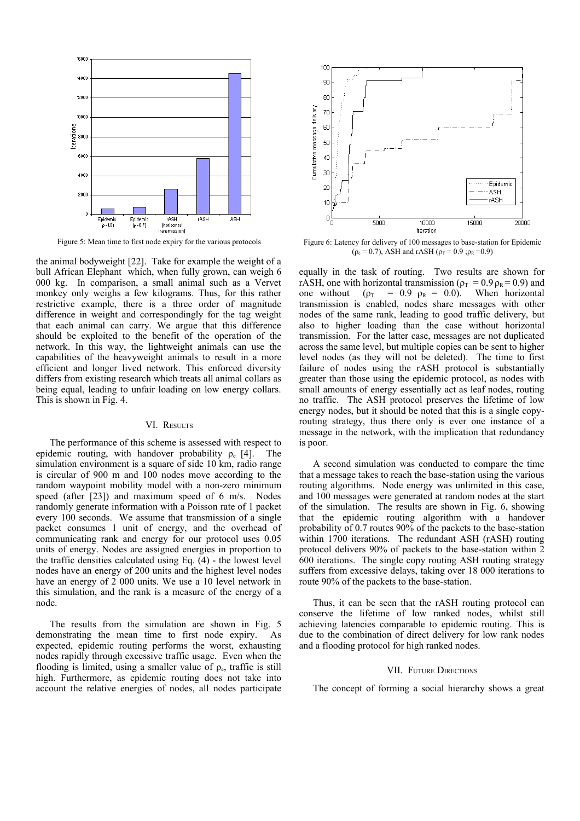

<span id="page-4-1"></span>

the animal bodyweight [22]. Take for example the weight of a bull African Elephant which, when fully grown, can weigh 6 000 kg. In comparison, a small animal such as a Vervet monkey only weighs a few kilograms. Thus, for this rather restrictive example, there is a three order of magnitude difference in weight and correspondingly for the tag weight that each animal can carry. We argue that this difference should be exploited to the benefit of the operation of the network. In this way, the lightweight animals can use the capabilities of the heavyweight animals to result in a more efficient and longer lived network. This enforced diversity differs from existing research which treats all animal collars as being equal, leading to unfair loading on low energy collars. This is shown in Fig. [4.](#page-3-0)

## VI. RESULTS

The performance of this scheme is assessed with respect to epidemic routing, with handover probability  $\rho_e$  [4]. The simulation environment is a square of side 10 km, radio range is circular of 900 m and 100 nodes move according to the random waypoint mobility model with a non-zero minimum speed (after [23]) and maximum speed of 6 m/s. Nodes randomly generate information with a Poisson rate of 1 packet every 100 seconds. We assume that transmission of a single packet consumes 1 unit of energy, and the overhead of communicating rank and energy for our protocol uses 0.05 units of energy. Nodes are assigned energies in proportion to the traffic densities calculated using Eq. (4) - the lowest level nodes have an energy of 200 units and the highest level nodes have an energy of 2 000 units. We use a 10 level network in this simulation, and the rank is a measure of the energy of a node.

The results from the simulation are shown in Fig. [5](#page-4-1) demonstrating the mean time to first node expiry. As expected, epidemic routing performs the worst, exhausting nodes rapidly through excessive traffic usage. Even when the flooding is limited, using a smaller value of  $\rho_e$ , traffic is still high. Furthermore, as epidemic routing does not take into account the relative energies of nodes, all nodes participate



Figure 5: Mean time to first node expiry for the various protocols Figure 6: Latency for delivery of 100 messages to base-station for Epidemic  $(\rho_e = 0.7)$ , ASH and rASH  $(\rho_T = 0.9)$ ;  $\rho_R = 0.9$ )

<span id="page-4-0"></span>equally in the task of routing. Two results are shown for rASH, one with horizontal transmission ( $\rho_T = 0.9 \rho_R = 0.9$ ) and one without ( $\rho_T$  = 0.9  $\rho_R$  = 0.0). When horizontal transmission is enabled, nodes share messages with other nodes of the same rank, leading to good traffic delivery, but also to higher loading than the case without horizontal transmission. For the latter case, messages are not duplicated across the same level, but multiple copies can be sent to higher level nodes (as they will not be deleted). The time to first failure of nodes using the rASH protocol is substantially greater than those using the epidemic protocol, as nodes with small amounts of energy essentially act as leaf nodes, routing no traffic. The ASH protocol preserves the lifetime of low energy nodes, but it should be noted that this is a single copyrouting strategy, thus there only is ever one instance of a message in the network, with the implication that redundancy is poor.

A second simulation was conducted to compare the time that a message takes to reach the base-station using the various routing algorithms. Node energy was unlimited in this case, and 100 messages were generated at random nodes at the start of the simulation. The results are shown in Fig. [6,](#page-4-0) showing that the epidemic routing algorithm with a handover probability of 0.7 routes 90% of the packets to the base-station within 1700 iterations. The redundant ASH (rASH) routing protocol delivers 90% of packets to the base-station within 2 600 iterations. The single copy routing ASH routing strategy suffers from excessive delays, taking over 18 000 iterations to route 90% of the packets to the base-station.

Thus, it can be seen that the rASH routing protocol can conserve the lifetime of low ranked nodes, whilst still achieving latencies comparable to epidemic routing. This is due to the combination of direct delivery for low rank nodes and a flooding protocol for high ranked nodes.

## VII. FUTURE DIRECTIONS

The concept of forming a social hierarchy shows a great